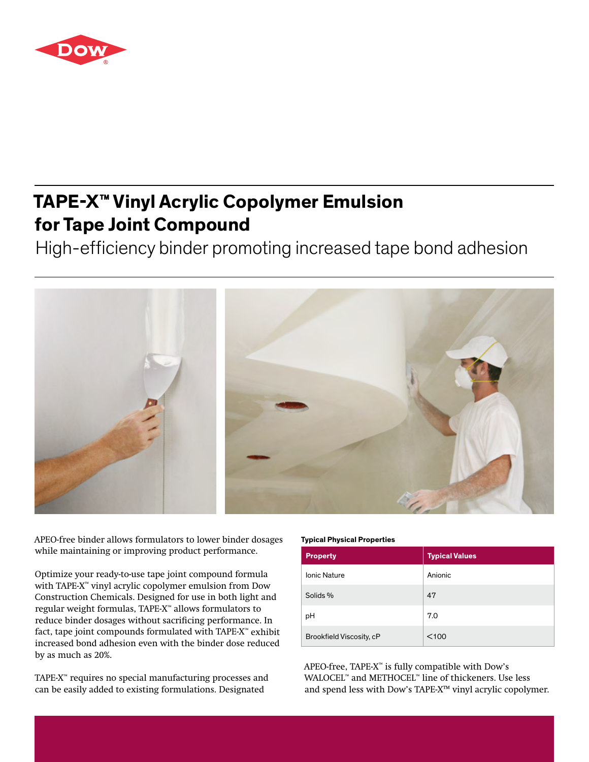

## **TAPE-X™ Vinyl Acrylic Copolymer Emulsion for Tape Joint Compound**

High-efficiency binder promoting increased tape bond adhesion



APEO-free binder allows formulators to lower binder dosages while maintaining or improving product performance.

Optimize your ready-to-use tape joint compound formula with TAPE-X™ vinyl acrylic copolymer emulsion from Dow Construction Chemicals. Designed for use in both light and regular weight formulas, TAPE-X™ allows formulators to reduce binder dosages without sacrificing performance. In fact, tape joint compounds formulated with TAPE-X™ exhibit increased bond adhesion even with the binder dose reduced by as much as 20%.

TAPE-X™ requires no special manufacturing processes and can be easily added to existing formulations. Designated

## **Typical Physical Properties**

| <b>Property</b>          | <b>Typical Values</b> |
|--------------------------|-----------------------|
| <b>Ionic Nature</b>      | Anionic               |
| Solids %                 | 47                    |
| pH                       | 7.0                   |
| Brookfield Viscosity, cP | $<$ 100               |

APEO-free, TAPE-X™ is fully compatible with Dow's WALOCEL™ and METHOCEL™ line of thickeners. Use less and spend less with Dow's TAPE-X™ vinyl acrylic copolymer.